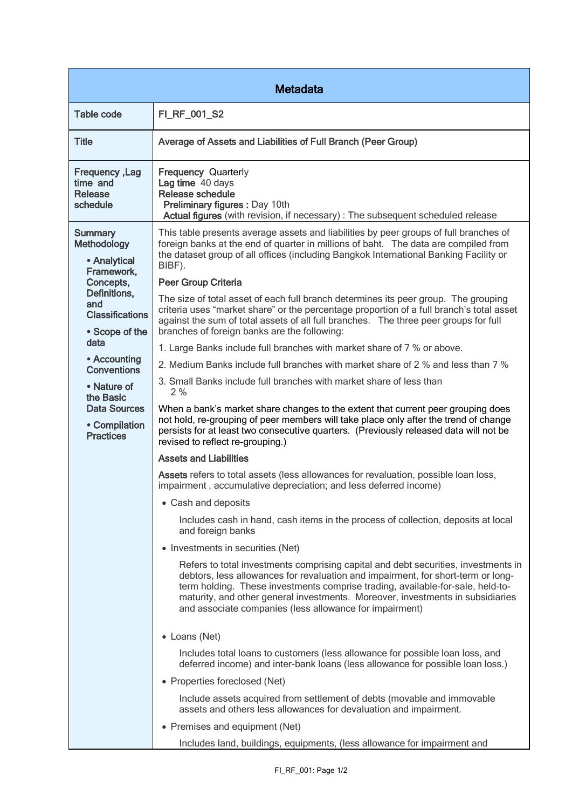| <b>Metadata</b>                                                                                                                                                                                                                                                                   |                                                                                                                                                                                                                                                                                                                                                                                                                                                                                                                                                                                                                                                                                                                                                                                                                                                                                                                                                                                                                                                                                                                                                                                                                                                                                                                                                                                                                                                                                                                                                                                                                                                                                                                                                                                                                                                                                                                                                                                                                                                                                                                                                              |  |
|-----------------------------------------------------------------------------------------------------------------------------------------------------------------------------------------------------------------------------------------------------------------------------------|--------------------------------------------------------------------------------------------------------------------------------------------------------------------------------------------------------------------------------------------------------------------------------------------------------------------------------------------------------------------------------------------------------------------------------------------------------------------------------------------------------------------------------------------------------------------------------------------------------------------------------------------------------------------------------------------------------------------------------------------------------------------------------------------------------------------------------------------------------------------------------------------------------------------------------------------------------------------------------------------------------------------------------------------------------------------------------------------------------------------------------------------------------------------------------------------------------------------------------------------------------------------------------------------------------------------------------------------------------------------------------------------------------------------------------------------------------------------------------------------------------------------------------------------------------------------------------------------------------------------------------------------------------------------------------------------------------------------------------------------------------------------------------------------------------------------------------------------------------------------------------------------------------------------------------------------------------------------------------------------------------------------------------------------------------------------------------------------------------------------------------------------------------------|--|
| <b>Table code</b>                                                                                                                                                                                                                                                                 | FI_RF_001_S2                                                                                                                                                                                                                                                                                                                                                                                                                                                                                                                                                                                                                                                                                                                                                                                                                                                                                                                                                                                                                                                                                                                                                                                                                                                                                                                                                                                                                                                                                                                                                                                                                                                                                                                                                                                                                                                                                                                                                                                                                                                                                                                                                 |  |
| <b>Title</b>                                                                                                                                                                                                                                                                      | Average of Assets and Liabilities of Full Branch (Peer Group)                                                                                                                                                                                                                                                                                                                                                                                                                                                                                                                                                                                                                                                                                                                                                                                                                                                                                                                                                                                                                                                                                                                                                                                                                                                                                                                                                                                                                                                                                                                                                                                                                                                                                                                                                                                                                                                                                                                                                                                                                                                                                                |  |
| Frequency, Lag<br>time and<br><b>Release</b><br>schedule                                                                                                                                                                                                                          | <b>Frequency Quarterly</b><br>Lag time 40 days<br>Release schedule<br>Preliminary figures : Day 10th<br>Actual figures (with revision, if necessary) : The subsequent scheduled release                                                                                                                                                                                                                                                                                                                                                                                                                                                                                                                                                                                                                                                                                                                                                                                                                                                                                                                                                                                                                                                                                                                                                                                                                                                                                                                                                                                                                                                                                                                                                                                                                                                                                                                                                                                                                                                                                                                                                                      |  |
| <b>Summary</b><br><b>Methodology</b><br>• Analytical<br>Framework,<br>Concepts,<br>Definitions,<br>and<br><b>Classifications</b><br>• Scope of the<br>data<br>• Accounting<br><b>Conventions</b><br>• Nature of<br>the Basic<br>Data Sources<br>• Compilation<br><b>Practices</b> | This table presents average assets and liabilities by peer groups of full branches of<br>foreign banks at the end of quarter in millions of baht. The data are compiled from<br>the dataset group of all offices (including Bangkok International Banking Facility or<br>BIBF).<br><b>Peer Group Criteria</b><br>The size of total asset of each full branch determines its peer group. The grouping<br>criteria uses "market share" or the percentage proportion of a full branch's total asset<br>against the sum of total assets of all full branches. The three peer groups for full<br>branches of foreign banks are the following:<br>1. Large Banks include full branches with market share of 7 % or above.<br>2. Medium Banks include full branches with market share of 2 % and less than 7 %<br>3. Small Banks include full branches with market share of less than<br>2%<br>When a bank's market share changes to the extent that current peer grouping does<br>not hold, re-grouping of peer members will take place only after the trend of change<br>persists for at least two consecutive quarters. (Previously released data will not be<br>revised to reflect re-grouping.)<br><b>Assets and Liabilities</b><br>Assets refers to total assets (less allowances for revaluation, possible loan loss,<br>impairment, accumulative depreciation; and less deferred income)<br>• Cash and deposits<br>Includes cash in hand, cash items in the process of collection, deposits at local<br>and foreign banks<br>• Investments in securities (Net)<br>Refers to total investments comprising capital and debt securities, investments in<br>debtors, less allowances for revaluation and impairment, for short-term or long-<br>term holding. These investments comprise trading, available-for-sale, held-to-<br>maturity, and other general investments. Moreover, investments in subsidiaries<br>and associate companies (less allowance for impairment)<br>• Loans (Net)<br>Includes total loans to customers (less allowance for possible loan loss, and<br>deferred income) and inter-bank loans (less allowance for possible loan loss.) |  |
|                                                                                                                                                                                                                                                                                   | • Properties foreclosed (Net)<br>Include assets acquired from settlement of debts (movable and immovable<br>assets and others less allowances for devaluation and impairment.<br>• Premises and equipment (Net)<br>Includes land, buildings, equipments, (less allowance for impairment and                                                                                                                                                                                                                                                                                                                                                                                                                                                                                                                                                                                                                                                                                                                                                                                                                                                                                                                                                                                                                                                                                                                                                                                                                                                                                                                                                                                                                                                                                                                                                                                                                                                                                                                                                                                                                                                                  |  |